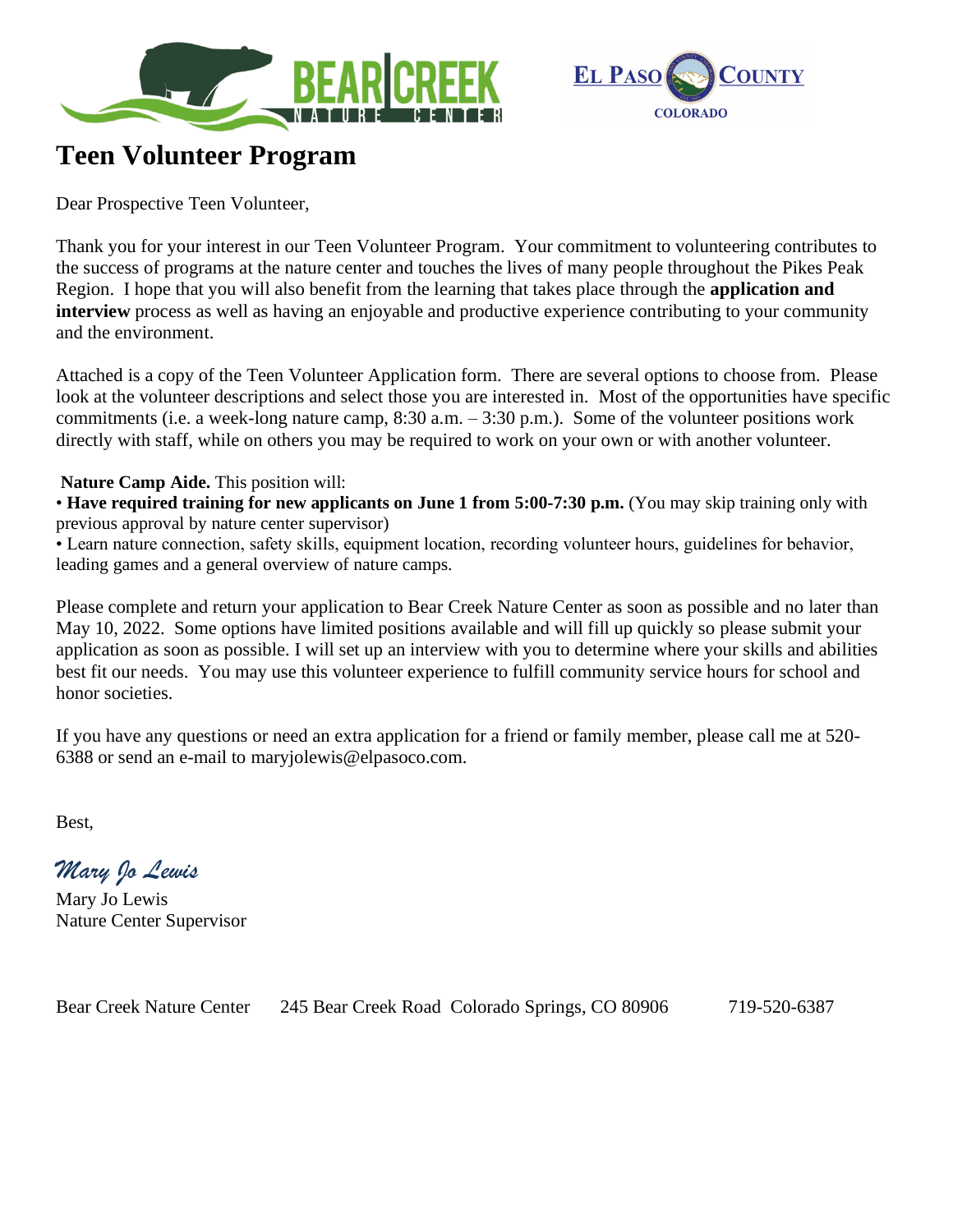



## **Teen Volunteer Program**

Dear Prospective Teen Volunteer,

Thank you for your interest in our Teen Volunteer Program. Your commitment to volunteering contributes to the success of programs at the nature center and touches the lives of many people throughout the Pikes Peak Region. I hope that you will also benefit from the learning that takes place through the **application and interview** process as well as having an enjoyable and productive experience contributing to your community and the environment.

Attached is a copy of the Teen Volunteer Application form. There are several options to choose from. Please look at the volunteer descriptions and select those you are interested in. Most of the opportunities have specific commitments (i.e. a week-long nature camp, 8:30 a.m. – 3:30 p.m.). Some of the volunteer positions work directly with staff, while on others you may be required to work on your own or with another volunteer.

## **Nature Camp Aide.** This position will:

• **Have required training for new applicants on June 1 from 5:00-7:30 p.m.** (You may skip training only with previous approval by nature center supervisor)

• Learn nature connection, safety skills, equipment location, recording volunteer hours, guidelines for behavior, leading games and a general overview of nature camps.

Please complete and return your application to Bear Creek Nature Center as soon as possible and no later than May 10, 2022. Some options have limited positions available and will fill up quickly so please submit your application as soon as possible. I will set up an interview with you to determine where your skills and abilities best fit our needs. You may use this volunteer experience to fulfill community service hours for school and honor societies.

If you have any questions or need an extra application for a friend or family member, please call me at 520- 6388 or send an e-mail to maryjolewis@elpasoco.com.

Best,

*Mary Jo Lewis*

Mary Jo Lewis Nature Center Supervisor

Bear Creek Nature Center 245 Bear Creek Road Colorado Springs, CO 80906 719-520-6387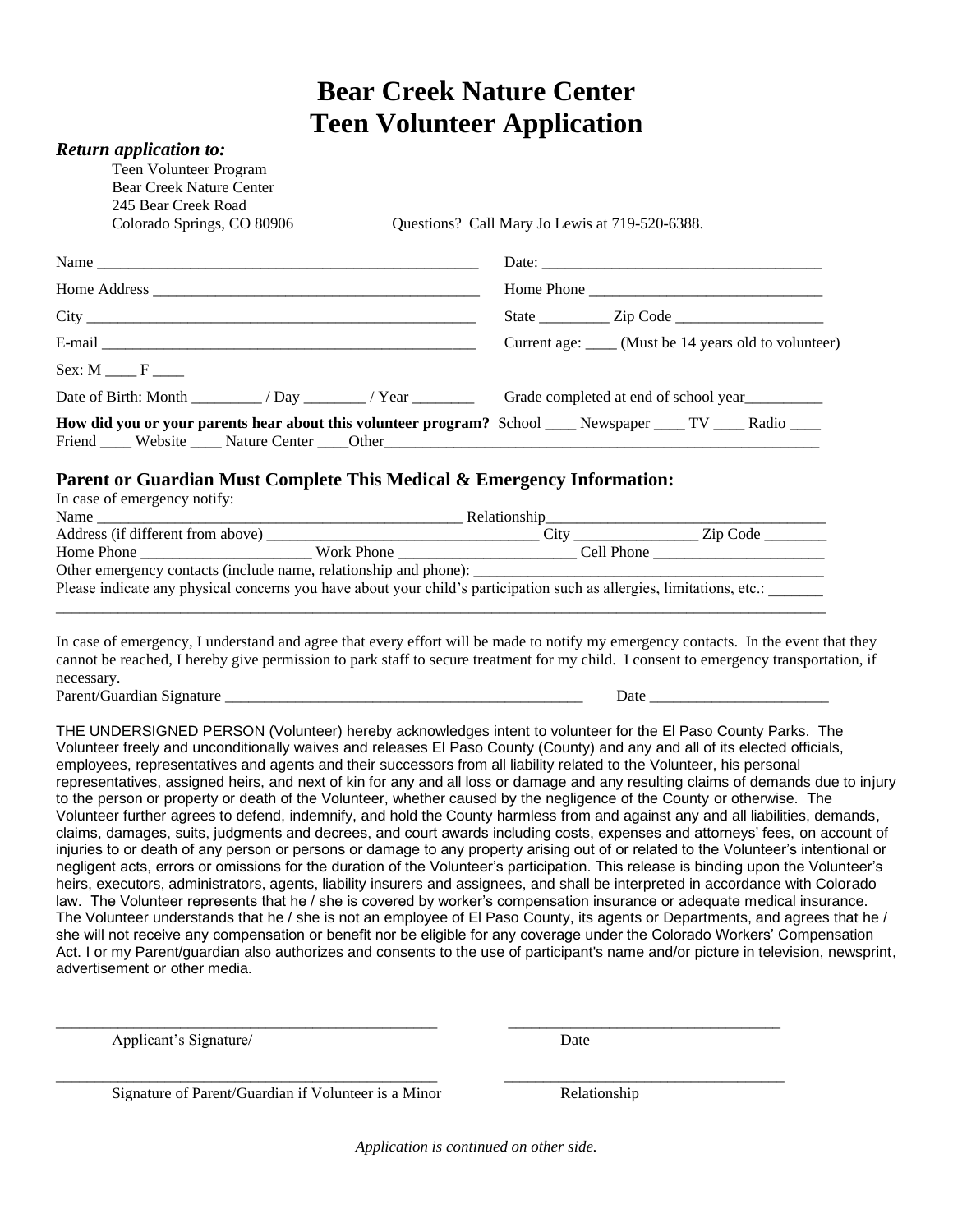## **Bear Creek Nature Center Teen Volunteer Application**

| <b>Return application to:</b>                                                                                         |                                                                                                                                                                                                                                                                              |
|-----------------------------------------------------------------------------------------------------------------------|------------------------------------------------------------------------------------------------------------------------------------------------------------------------------------------------------------------------------------------------------------------------------|
| Teen Volunteer Program                                                                                                |                                                                                                                                                                                                                                                                              |
| <b>Bear Creek Nature Center</b>                                                                                       |                                                                                                                                                                                                                                                                              |
| 245 Bear Creek Road                                                                                                   |                                                                                                                                                                                                                                                                              |
| Colorado Springs, CO 80906                                                                                            | Questions? Call Mary Jo Lewis at 719-520-6388.                                                                                                                                                                                                                               |
|                                                                                                                       |                                                                                                                                                                                                                                                                              |
|                                                                                                                       | Home Phone                                                                                                                                                                                                                                                                   |
|                                                                                                                       |                                                                                                                                                                                                                                                                              |
|                                                                                                                       | Current age: _____ (Must be 14 years old to volunteer)                                                                                                                                                                                                                       |
| $Sex: M \_\_\_\$ F                                                                                                    |                                                                                                                                                                                                                                                                              |
|                                                                                                                       |                                                                                                                                                                                                                                                                              |
| How did you or your parents hear about this volunteer program? School ___ Newspaper ___ TV ___ Radio ___              |                                                                                                                                                                                                                                                                              |
| Parent or Guardian Must Complete This Medical & Emergency Information:                                                |                                                                                                                                                                                                                                                                              |
| In case of emergency notify:                                                                                          |                                                                                                                                                                                                                                                                              |
|                                                                                                                       |                                                                                                                                                                                                                                                                              |
|                                                                                                                       |                                                                                                                                                                                                                                                                              |
|                                                                                                                       |                                                                                                                                                                                                                                                                              |
| Please indicate any physical concerns you have about your child's participation such as allergies, limitations, etc.: |                                                                                                                                                                                                                                                                              |
|                                                                                                                       |                                                                                                                                                                                                                                                                              |
|                                                                                                                       | In case of emergency, I understand and agree that every effort will be made to notify my emergency contacts. In the event that they<br>cannot be reached, I hereby give permission to park staff to secure treatment for my child. I consent to emergency transportation, if |
| necessary.                                                                                                            |                                                                                                                                                                                                                                                                              |
| Parent/Guardian Signature                                                                                             |                                                                                                                                                                                                                                                                              |

THE UNDERSIGNED PERSON (Volunteer) hereby acknowledges intent to volunteer for the El Paso County Parks. The Volunteer freely and unconditionally waives and releases El Paso County (County) and any and all of its elected officials, employees, representatives and agents and their successors from all liability related to the Volunteer, his personal representatives, assigned heirs, and next of kin for any and all loss or damage and any resulting claims of demands due to injury to the person or property or death of the Volunteer, whether caused by the negligence of the County or otherwise. The Volunteer further agrees to defend, indemnify, and hold the County harmless from and against any and all liabilities, demands, claims, damages, suits, judgments and decrees, and court awards including costs, expenses and attorneys' fees, on account of injuries to or death of any person or persons or damage to any property arising out of or related to the Volunteer's intentional or negligent acts, errors or omissions for the duration of the Volunteer's participation. This release is binding upon the Volunteer's heirs, executors, administrators, agents, liability insurers and assignees, and shall be interpreted in accordance with Colorado law. The Volunteer represents that he / she is covered by worker's compensation insurance or adequate medical insurance. The Volunteer understands that he / she is not an employee of El Paso County, its agents or Departments, and agrees that he / she will not receive any compensation or benefit nor be eligible for any coverage under the Colorado Workers' Compensation Act. I or my Parent/guardian also authorizes and consents to the use of participant's name and/or picture in television, newsprint, advertisement or other media.

Applicant's Signature/ Date

Signature of Parent/Guardian if Volunteer is a Minor Relationship

*Application is continued on other side.*

\_\_\_\_\_\_\_\_\_\_\_\_\_\_\_\_\_\_\_\_\_\_\_\_\_\_\_\_\_\_\_\_\_\_\_\_\_\_\_\_\_\_\_\_\_\_\_\_\_ \_\_\_\_\_\_\_\_\_\_\_\_\_\_\_\_\_\_\_\_\_\_\_\_\_\_\_\_\_\_\_\_\_\_\_

\_\_\_\_\_\_\_\_\_\_\_\_\_\_\_\_\_\_\_\_\_\_\_\_\_\_\_\_\_\_\_\_\_\_\_\_\_\_\_\_\_\_\_\_\_\_\_\_\_ \_\_\_\_\_\_\_\_\_\_\_\_\_\_\_\_\_\_\_\_\_\_\_\_\_\_\_\_\_\_\_\_\_\_\_\_